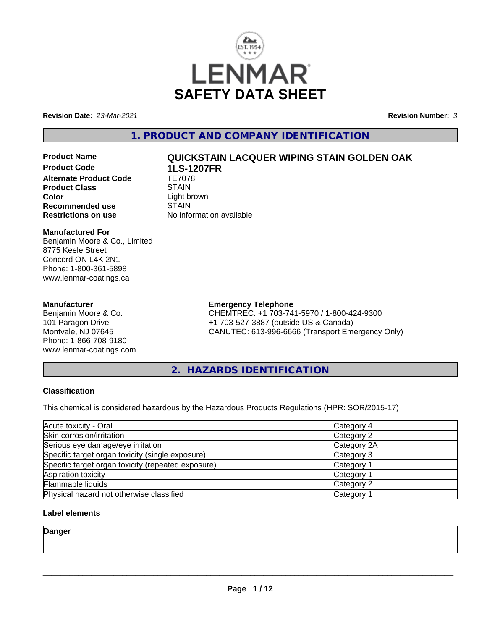

**Revision Date:** *23-Mar-2021* **Revision Number:** *3*

**1. PRODUCT AND COMPANY IDENTIFICATION**

# **Product Name QUICKSTAIN LACQUER WIPING STAIN GOLDEN OAK**

**Product Code 1LS-1207FR Alternate Product Code Product Class STAIN Color**<br> **Recommended use**<br>
STAIN **Recommended use**<br>Restrictions on use

# **Manufactured For**

Benjamin Moore & Co., Limited 8775 Keele Street Concord ON L4K 2N1 Phone: 1-800-361-5898 www.lenmar-coatings.ca

# **Manufacturer**

Benjamin Moore & Co. 101 Paragon Drive Montvale, NJ 07645 Phone: 1-866-708-9180 www.lenmar-coatings.com **No information available** 

**Emergency Telephone**

CHEMTREC: +1 703-741-5970 / 1-800-424-9300 +1 703-527-3887 (outside US & Canada) CANUTEC: 613-996-6666 (Transport Emergency Only)

**2. HAZARDS IDENTIFICATION**

# **Classification**

This chemical is considered hazardous by the Hazardous Products Regulations (HPR: SOR/2015-17)

| Acute toxicity - Oral                              | Category 4  |  |
|----------------------------------------------------|-------------|--|
| Skin corrosion/irritation                          | Category 2  |  |
| Serious eye damage/eye irritation                  | Category 2A |  |
| Specific target organ toxicity (single exposure)   | Category 3  |  |
| Specific target organ toxicity (repeated exposure) | Category 1  |  |
| Aspiration toxicity                                | Category 1  |  |
| Flammable liquids                                  | Category 2  |  |
| Physical hazard not otherwise classified           | Category 1  |  |

# **Label elements**

**Danger**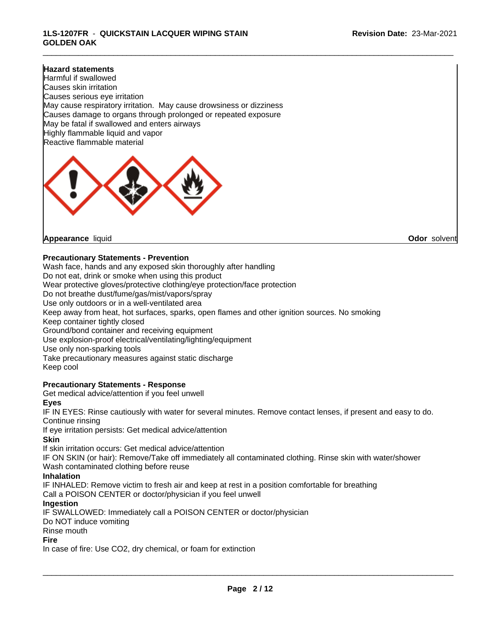\_\_\_\_\_\_\_\_\_\_\_\_\_\_\_\_\_\_\_\_\_\_\_\_\_\_\_\_\_\_\_\_\_\_\_\_\_\_\_\_\_\_\_\_\_\_\_\_\_\_\_\_\_\_\_\_\_\_\_\_\_\_\_\_\_\_\_\_\_\_\_\_\_\_\_\_\_\_\_\_\_\_\_\_\_\_\_\_\_\_\_\_\_

### **Hazard statements**

Harmful if swallowed Causes skin irritation Causes serious eye irritation May cause respiratory irritation. May cause drowsiness or dizziness Causes damage to organs through prolonged or repeated exposure May be fatal if swallowed and enters airways Highly flammable liquid and vapor Reactive flammable material



**Appearance** liquid **Odor** solvent

#### **Precautionary Statements - Prevention**

Wash face, hands and any exposed skin thoroughly after handling Do not eat, drink or smoke when using this product Wear protective gloves/protective clothing/eye protection/face protection Do not breathe dust/fume/gas/mist/vapors/spray Use only outdoors or in a well-ventilated area Keep away from heat, hot surfaces, sparks, open flames and other ignition sources. No smoking Keep container tightly closed Ground/bond container and receiving equipment Use explosion-proof electrical/ventilating/lighting/equipment Use only non-sparking tools Take precautionary measures against static discharge Keep cool

# **Precautionary Statements - Response**

Get medical advice/attention if you feel unwell

#### **Eyes**

IF IN EYES: Rinse cautiously with water for several minutes. Remove contact lenses, if present and easy to do. Continue rinsing

If eye irritation persists: Get medical advice/attention

#### **Skin**

If skin irritation occurs: Get medical advice/attention

IF ON SKIN (or hair): Remove/Take off immediately all contaminated clothing. Rinse skin with water/shower Wash contaminated clothing before reuse

#### **Inhalation**

IF INHALED: Remove victim to fresh air and keep at rest in a position comfortable for breathing Call a POISON CENTER or doctor/physician if you feel unwell

#### **Ingestion**

IF SWALLOWED: Immediately call a POISON CENTER or doctor/physician

Do NOT induce vomiting

Rinse mouth

#### **Fire**

In case of fire: Use CO2, dry chemical, or foam for extinction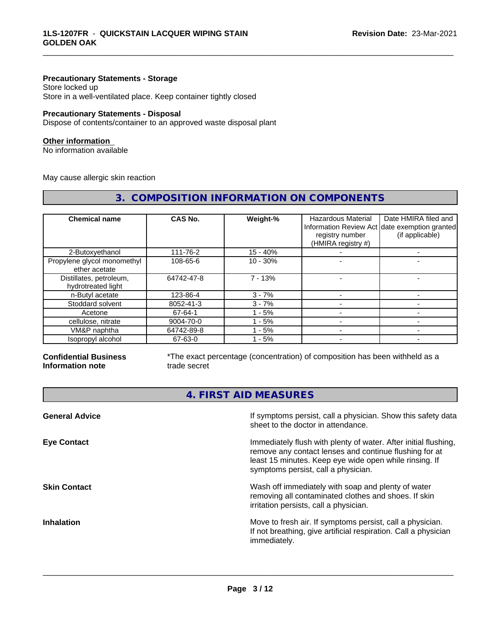### **Precautionary Statements - Storage**

Store locked up Store in a well-ventilated place. Keep container tightly closed

### **Precautionary Statements - Disposal**

Dispose of contents/container to an approved waste disposal plant

#### **Other information**

No information available

May cause allergic skin reaction

| 3. COMPOSITION INFORMATION ON COMPONENTS      |                |            |                                                                    |                                                                                          |
|-----------------------------------------------|----------------|------------|--------------------------------------------------------------------|------------------------------------------------------------------------------------------|
| <b>Chemical name</b>                          | <b>CAS No.</b> | Weight-%   | <b>Hazardous Material</b><br>registry number<br>(HMIRA registry #) | Date HMIRA filed and<br>Information Review Act date exemption granted<br>(if applicable) |
| 2-Butoxyethanol                               | 111-76-2       | $15 - 40%$ |                                                                    |                                                                                          |
| Propylene glycol monomethyl<br>ether acetate  | 108-65-6       | $10 - 30%$ |                                                                    |                                                                                          |
| Distillates, petroleum,<br>hydrotreated light | 64742-47-8     | $7 - 13%$  |                                                                    |                                                                                          |
| n-Butyl acetate                               | 123-86-4       | $3 - 7%$   |                                                                    |                                                                                          |
| Stoddard solvent                              | 8052-41-3      | $3 - 7%$   |                                                                    |                                                                                          |
| Acetone                                       | 67-64-1        | $1 - 5%$   |                                                                    |                                                                                          |
| cellulose, nitrate                            | 9004-70-0      | $1 - 5%$   | $\overline{\phantom{0}}$                                           |                                                                                          |
| VM&P naphtha                                  | 64742-89-8     | - 5%       | -                                                                  |                                                                                          |
| Isopropyl alcohol                             | 67-63-0        | 1 - 5%     |                                                                    |                                                                                          |

#### **Confidential Business Information note**

\*The exact percentage (concentration) of composition has been withheld as a trade secret

\_\_\_\_\_\_\_\_\_\_\_\_\_\_\_\_\_\_\_\_\_\_\_\_\_\_\_\_\_\_\_\_\_\_\_\_\_\_\_\_\_\_\_\_\_\_\_\_\_\_\_\_\_\_\_\_\_\_\_\_\_\_\_\_\_\_\_\_\_\_\_\_\_\_\_\_\_\_\_\_\_\_\_\_\_\_\_\_\_\_\_\_\_

**4. FIRST AID MEASURES**

| If symptoms persist, call a physician. Show this safety data<br>sheet to the doctor in attendance.                                                                                                                         |
|----------------------------------------------------------------------------------------------------------------------------------------------------------------------------------------------------------------------------|
| Immediately flush with plenty of water. After initial flushing,<br>remove any contact lenses and continue flushing for at<br>least 15 minutes. Keep eye wide open while rinsing. If<br>symptoms persist, call a physician. |
| Wash off immediately with soap and plenty of water<br>removing all contaminated clothes and shoes. If skin<br>irritation persists, call a physician.                                                                       |
| Move to fresh air. If symptoms persist, call a physician.<br>If not breathing, give artificial respiration. Call a physician<br>immediately.                                                                               |
|                                                                                                                                                                                                                            |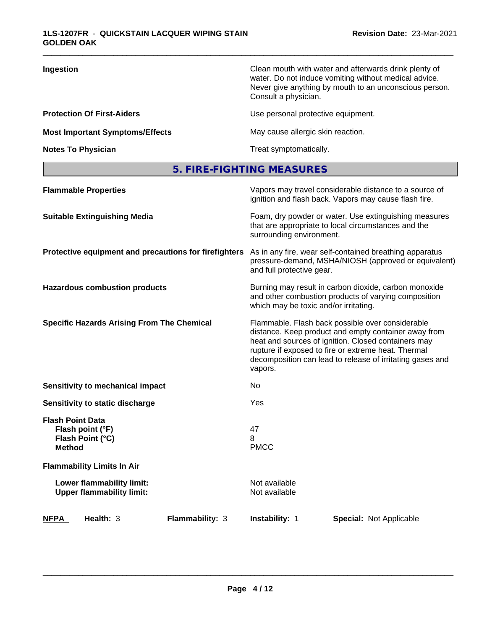| Ingestion                              | Clean mouth with water and afterwards drink plenty of<br>water. Do not induce vomiting without medical advice.<br>Never give anything by mouth to an unconscious person.<br>Consult a physician. |
|----------------------------------------|--------------------------------------------------------------------------------------------------------------------------------------------------------------------------------------------------|
| <b>Protection Of First-Aiders</b>      | Use personal protective equipment.                                                                                                                                                               |
| <b>Most Important Symptoms/Effects</b> | May cause allergic skin reaction.                                                                                                                                                                |
| <b>Notes To Physician</b>              | Treat symptomatically.                                                                                                                                                                           |

\_\_\_\_\_\_\_\_\_\_\_\_\_\_\_\_\_\_\_\_\_\_\_\_\_\_\_\_\_\_\_\_\_\_\_\_\_\_\_\_\_\_\_\_\_\_\_\_\_\_\_\_\_\_\_\_\_\_\_\_\_\_\_\_\_\_\_\_\_\_\_\_\_\_\_\_\_\_\_\_\_\_\_\_\_\_\_\_\_\_\_\_\_

**5. FIRE-FIGHTING MEASURES**

| <b>Flammable Properties</b>                                                      | Vapors may travel considerable distance to a source of<br>ignition and flash back. Vapors may cause flash fire.                                                                                                                                                                                |
|----------------------------------------------------------------------------------|------------------------------------------------------------------------------------------------------------------------------------------------------------------------------------------------------------------------------------------------------------------------------------------------|
| <b>Suitable Extinguishing Media</b>                                              | Foam, dry powder or water. Use extinguishing measures<br>that are appropriate to local circumstances and the<br>surrounding environment.                                                                                                                                                       |
| Protective equipment and precautions for firefighters                            | As in any fire, wear self-contained breathing apparatus<br>pressure-demand, MSHA/NIOSH (approved or equivalent)<br>and full protective gear.                                                                                                                                                   |
| <b>Hazardous combustion products</b>                                             | Burning may result in carbon dioxide, carbon monoxide<br>and other combustion products of varying composition<br>which may be toxic and/or irritating.                                                                                                                                         |
| <b>Specific Hazards Arising From The Chemical</b>                                | Flammable. Flash back possible over considerable<br>distance. Keep product and empty container away from<br>heat and sources of ignition. Closed containers may<br>rupture if exposed to fire or extreme heat. Thermal<br>decomposition can lead to release of irritating gases and<br>vapors. |
| <b>Sensitivity to mechanical impact</b>                                          | No                                                                                                                                                                                                                                                                                             |
| Sensitivity to static discharge                                                  | Yes                                                                                                                                                                                                                                                                                            |
| <b>Flash Point Data</b><br>Flash point (°F)<br>Flash Point (°C)<br><b>Method</b> | 47<br>8<br><b>PMCC</b>                                                                                                                                                                                                                                                                         |
| <b>Flammability Limits In Air</b>                                                |                                                                                                                                                                                                                                                                                                |
| Lower flammability limit:<br><b>Upper flammability limit:</b>                    | Not available<br>Not available                                                                                                                                                                                                                                                                 |
| Health: 3<br>Flammability: 3<br><b>NFPA</b>                                      | <b>Instability: 1</b><br><b>Special: Not Applicable</b>                                                                                                                                                                                                                                        |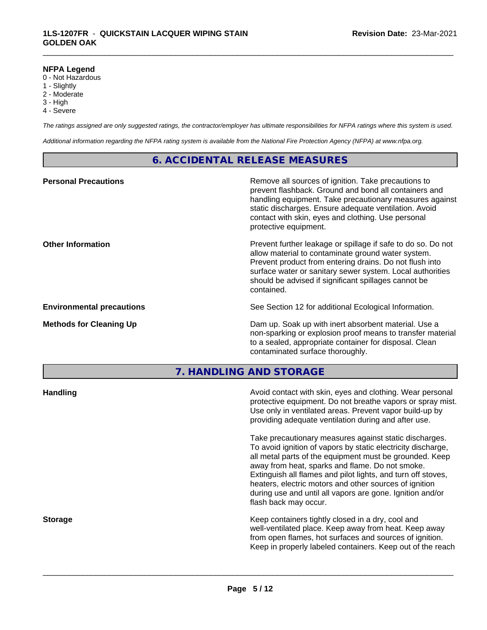#### **NFPA Legend**

- 0 Not Hazardous
- 1 Slightly
- 2 Moderate
- 3 High
- 4 Severe

*The ratings assigned are only suggested ratings, the contractor/employer has ultimate responsibilities for NFPA ratings where this system is used.*

\_\_\_\_\_\_\_\_\_\_\_\_\_\_\_\_\_\_\_\_\_\_\_\_\_\_\_\_\_\_\_\_\_\_\_\_\_\_\_\_\_\_\_\_\_\_\_\_\_\_\_\_\_\_\_\_\_\_\_\_\_\_\_\_\_\_\_\_\_\_\_\_\_\_\_\_\_\_\_\_\_\_\_\_\_\_\_\_\_\_\_\_\_

*Additional information regarding the NFPA rating system is available from the National Fire Protection Agency (NFPA) at www.nfpa.org.*

# **6. ACCIDENTAL RELEASE MEASURES**

| <b>Personal Precautions</b>      | Remove all sources of ignition. Take precautions to<br>prevent flashback. Ground and bond all containers and<br>handling equipment. Take precautionary measures against<br>static discharges. Ensure adequate ventilation. Avoid<br>contact with skin, eyes and clothing. Use personal<br>protective equipment.  |
|----------------------------------|------------------------------------------------------------------------------------------------------------------------------------------------------------------------------------------------------------------------------------------------------------------------------------------------------------------|
| <b>Other Information</b>         | Prevent further leakage or spillage if safe to do so. Do not<br>allow material to contaminate ground water system.<br>Prevent product from entering drains. Do not flush into<br>surface water or sanitary sewer system. Local authorities<br>should be advised if significant spillages cannot be<br>contained. |
| <b>Environmental precautions</b> | See Section 12 for additional Ecological Information.                                                                                                                                                                                                                                                            |
| <b>Methods for Cleaning Up</b>   | Dam up. Soak up with inert absorbent material. Use a<br>non-sparking or explosion proof means to transfer material<br>to a sealed, appropriate container for disposal. Clean<br>contaminated surface thoroughly.                                                                                                 |

**7. HANDLING AND STORAGE**

| <b>Handling</b> | Avoid contact with skin, eyes and clothing. Wear personal<br>protective equipment. Do not breathe vapors or spray mist.<br>Use only in ventilated areas. Prevent vapor build-up by<br>providing adequate ventilation during and after use.                                                                                                                                                                                                           |
|-----------------|------------------------------------------------------------------------------------------------------------------------------------------------------------------------------------------------------------------------------------------------------------------------------------------------------------------------------------------------------------------------------------------------------------------------------------------------------|
|                 | Take precautionary measures against static discharges.<br>To avoid ignition of vapors by static electricity discharge,<br>all metal parts of the equipment must be grounded. Keep<br>away from heat, sparks and flame. Do not smoke.<br>Extinguish all flames and pilot lights, and turn off stoves,<br>heaters, electric motors and other sources of ignition<br>during use and until all vapors are gone. Ignition and/or<br>flash back may occur. |
| <b>Storage</b>  | Keep containers tightly closed in a dry, cool and<br>well-ventilated place. Keep away from heat. Keep away<br>from open flames, hot surfaces and sources of ignition.<br>Keep in properly labeled containers. Keep out of the reach                                                                                                                                                                                                                  |
|                 |                                                                                                                                                                                                                                                                                                                                                                                                                                                      |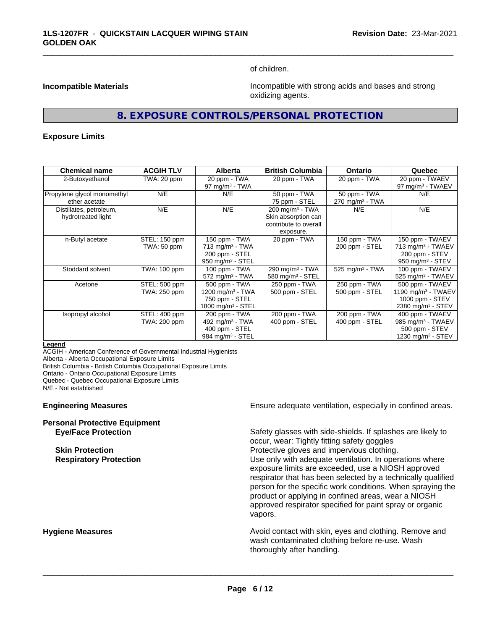of children.

\_\_\_\_\_\_\_\_\_\_\_\_\_\_\_\_\_\_\_\_\_\_\_\_\_\_\_\_\_\_\_\_\_\_\_\_\_\_\_\_\_\_\_\_\_\_\_\_\_\_\_\_\_\_\_\_\_\_\_\_\_\_\_\_\_\_\_\_\_\_\_\_\_\_\_\_\_\_\_\_\_\_\_\_\_\_\_\_\_\_\_\_\_

**Incompatible Materials Incompatible with strong acids and bases and strong** oxidizing agents.

# **8. EXPOSURE CONTROLS/PERSONAL PROTECTION**

#### **Exposure Limits**

| <b>Chemical name</b>                          | <b>ACGIH TLV</b>              | <b>Alberta</b>                                                                                 | <b>British Columbia</b>                                                                 | <b>Ontario</b>                              | Quebec                                                                                                  |
|-----------------------------------------------|-------------------------------|------------------------------------------------------------------------------------------------|-----------------------------------------------------------------------------------------|---------------------------------------------|---------------------------------------------------------------------------------------------------------|
| 2-Butoxyethanol                               | TWA: 20 ppm                   | 20 ppm - TWA<br>97 mg/m $3$ - TWA                                                              | 20 ppm - TWA                                                                            | 20 ppm - TWA                                | 20 ppm - TWAEV<br>97 mg/m <sup>3</sup> - TWAEV                                                          |
| Propylene glycol monomethyl<br>ether acetate  | N/E                           | N/E                                                                                            | 50 ppm - TWA<br>75 ppm - STEL                                                           | 50 ppm - TWA<br>270 mg/m <sup>3</sup> - TWA | N/E                                                                                                     |
| Distillates, petroleum,<br>hydrotreated light | N/E                           | N/E                                                                                            | $200 \text{ mg/m}^3$ - TWA<br>Skin absorption can<br>contribute to overall<br>exposure. | N/E                                         | N/E                                                                                                     |
| n-Butyl acetate                               | STEL: 150 ppm<br>TWA: 50 ppm  | 150 ppm - TWA<br>$713$ mg/m <sup>3</sup> - TWA<br>200 ppm - STEL<br>950 mg/m $3 -$ STEL        | 20 ppm - TWA                                                                            | 150 ppm - TWA<br>200 ppm - STEL             | 150 ppm - TWAEV<br>713 mg/m <sup>3</sup> - TWAEV<br>200 ppm - STEV<br>950 mg/m $3 -$ STEV               |
| Stoddard solvent                              | TWA: 100 ppm                  | 100 ppm - TWA<br>$572$ mg/m <sup>3</sup> - TWA                                                 | 290 mg/m <sup>3</sup> - TWA<br>580 mg/m $3 -$ STEL                                      | 525 mg/m $3$ - TWA                          | 100 ppm - TWAEV<br>525 mg/m <sup>3</sup> - TWAEV                                                        |
| Acetone                                       | STEL: 500 ppm<br>TWA: 250 ppm | 500 ppm - TWA<br>1200 mg/m $3$ - TWA<br>750 ppm - STEL<br>1800 mg/m <sup>3</sup> - STEL        | 250 ppm - TWA<br>500 ppm - STEL                                                         | 250 ppm - TWA<br>500 ppm - STEL             | 500 ppm - TWAEV<br>1190 mg/m <sup>3</sup> - TWAEV<br>1000 ppm - $STEV$<br>2380 mg/m <sup>3</sup> - STEV |
| Isopropyl alcohol                             | STEL: 400 ppm<br>TWA: 200 ppm | 200 ppm - TWA<br>492 mg/m <sup>3</sup> - TWA<br>400 ppm - STEL<br>984 mg/m <sup>3</sup> - STEL | 200 ppm - TWA<br>400 ppm - STEL                                                         | 200 ppm - TWA<br>400 ppm - STEL             | 400 ppm - TWAEV<br>985 mg/m <sup>3</sup> - TWAEV<br>500 ppm - STEV<br>1230 mg/m <sup>3</sup> - STEV     |

#### **Legend**

ACGIH - American Conference of Governmental Industrial Hygienists Alberta - Alberta Occupational Exposure Limits

British Columbia - British Columbia Occupational Exposure Limits

Ontario - Ontario Occupational Exposure Limits

Quebec - Quebec Occupational Exposure Limits

N/E - Not established

#### **Engineering Measures Ensure adequate ventilation, especially in confined areas.**

| <b>Personal Protective Equipment</b> |  |
|--------------------------------------|--|
| <b>Eve/Face Protection</b>           |  |

Safety glasses with side-shields. If splashes are likely to occur, wear: Tightly fitting safety goggles **Skin Protection Protection Protective gloves and impervious clothing. Respiratory Protection Exercise 2018** Use only with adequate ventilation. In operations where exposure limits are exceeded, use a NIOSH approved respirator that has been selected by a technically qualified person for the specific work conditions. When spraying the product or applying in confined areas, wear a NIOSH approved respirator specified for paint spray or organic vapors.

**Hygiene Measures Avoid contact with skin, eyes and clothing. Remove and Avoid contact with skin, eyes and clothing. Remove and Avoid contact with skin, eyes and clothing. Remove and** wash contaminated clothing before re-use. Wash thoroughly after handling.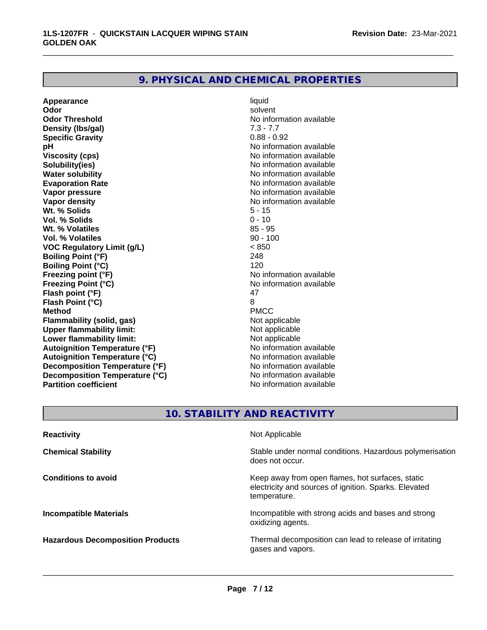# **9. PHYSICAL AND CHEMICAL PROPERTIES**

**Appearance** liquid and **a liquid liquid liquid** by the liquid liquid solvent **Odor** solvent **Odor Threshold** No information available **Density (lbs/gal)** 7.3 - 7.7<br> **Specific Gravity** 6.88 - 0.92 **Specific Gravity pH** No information available **Viscosity (cps)** No information available **Solubility(ies)** No information available **Water solubility**<br> **Evaporation Rate**<br> **Evaporation Rate**<br> **Evaporation Rate Evaporation Rate No information available**<br> **Vapor pressure No information available**<br>
No information available **Vapor density**<br> **We Solids**<br>
We Solids **We Note that the Solid S** and S - 15 **Wt. % Solids** 5 - 15<br> **Vol. % Solids** 6 - 10 **Vol. % Solids Wt. % Volatiles** 85 - 95 **Vol. % Volatiles VOC Regulatory Limit (g/L)** < 850 **Boiling Point (°F)** 248 **Boiling Point (°C)** 120 **Freezing point (°F)** The state of the state of the Noinformation available **Freezing Point (°C)**<br> **Flash noint (°F)**<br> **Flash noint (°F)**<br> **A7 Flash point (°F)** 47<br> **Flash Point (°C)** 8 **Flash Point (°C)** 8 **Method** PMCC **Flammability (solid, gas)**<br> **Consumption Upper flammability limit:**<br>
Upper flammability limit:<br>
Not applicable **Upper flammability limit:**<br> **Lower flammability limit:** Not applicable Not applicable **Lower flammability limit:**<br> **Autoignition Temperature (°F)** Not applicable havailable **Autoignition Temperature (°F) Autoignition Temperature (°C)** No information available **Decomposition Temperature (°F)** No information available<br> **Decomposition Temperature (°C)** No information available **Decomposition Temperature (°C) Partition coefficient** No information available

**No information available** 

\_\_\_\_\_\_\_\_\_\_\_\_\_\_\_\_\_\_\_\_\_\_\_\_\_\_\_\_\_\_\_\_\_\_\_\_\_\_\_\_\_\_\_\_\_\_\_\_\_\_\_\_\_\_\_\_\_\_\_\_\_\_\_\_\_\_\_\_\_\_\_\_\_\_\_\_\_\_\_\_\_\_\_\_\_\_\_\_\_\_\_\_\_

# **10. STABILITY AND REACTIVITY**

| <b>Reactivity</b>                       | Not Applicable                                                                                                            |
|-----------------------------------------|---------------------------------------------------------------------------------------------------------------------------|
| <b>Chemical Stability</b>               | Stable under normal conditions. Hazardous polymerisation<br>does not occur.                                               |
| <b>Conditions to avoid</b>              | Keep away from open flames, hot surfaces, static<br>electricity and sources of ignition. Sparks. Elevated<br>temperature. |
| <b>Incompatible Materials</b>           | Incompatible with strong acids and bases and strong<br>oxidizing agents.                                                  |
| <b>Hazardous Decomposition Products</b> | Thermal decomposition can lead to release of irritating<br>gases and vapors.                                              |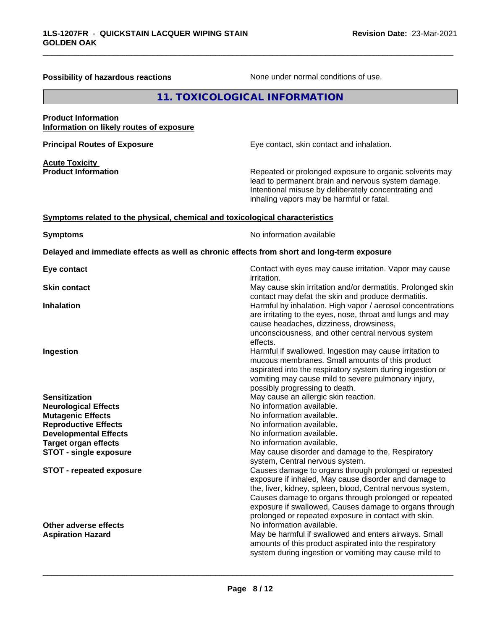| <b>Possibility of hazardous reactions</b>                                    | None under normal conditions of use.                                                                                                                                                                                                                                                                                                                                                       |  |
|------------------------------------------------------------------------------|--------------------------------------------------------------------------------------------------------------------------------------------------------------------------------------------------------------------------------------------------------------------------------------------------------------------------------------------------------------------------------------------|--|
| 11. TOXICOLOGICAL INFORMATION                                                |                                                                                                                                                                                                                                                                                                                                                                                            |  |
| <b>Product Information</b><br>Information on likely routes of exposure       |                                                                                                                                                                                                                                                                                                                                                                                            |  |
| <b>Principal Routes of Exposure</b>                                          | Eye contact, skin contact and inhalation.                                                                                                                                                                                                                                                                                                                                                  |  |
| <b>Acute Toxicity</b><br><b>Product Information</b>                          | Repeated or prolonged exposure to organic solvents may<br>lead to permanent brain and nervous system damage.<br>Intentional misuse by deliberately concentrating and<br>inhaling vapors may be harmful or fatal.                                                                                                                                                                           |  |
| Symptoms related to the physical, chemical and toxicological characteristics |                                                                                                                                                                                                                                                                                                                                                                                            |  |
| <b>Symptoms</b>                                                              | No information available                                                                                                                                                                                                                                                                                                                                                                   |  |
|                                                                              | Delayed and immediate effects as well as chronic effects from short and long-term exposure                                                                                                                                                                                                                                                                                                 |  |
| Eye contact                                                                  | Contact with eyes may cause irritation. Vapor may cause<br>irritation.                                                                                                                                                                                                                                                                                                                     |  |
| <b>Skin contact</b>                                                          | May cause skin irritation and/or dermatitis. Prolonged skin<br>contact may defat the skin and produce dermatitis.                                                                                                                                                                                                                                                                          |  |
| <b>Inhalation</b>                                                            | Harmful by inhalation. High vapor / aerosol concentrations<br>are irritating to the eyes, nose, throat and lungs and may<br>cause headaches, dizziness, drowsiness,<br>unconsciousness, and other central nervous system<br>effects.                                                                                                                                                       |  |
| Ingestion                                                                    | Harmful if swallowed. Ingestion may cause irritation to<br>mucous membranes. Small amounts of this product<br>aspirated into the respiratory system during ingestion or<br>vomiting may cause mild to severe pulmonary injury,<br>possibly progressing to death.                                                                                                                           |  |
| <b>Sensitization</b>                                                         | May cause an allergic skin reaction.                                                                                                                                                                                                                                                                                                                                                       |  |
| <b>Neurological Effects</b>                                                  | No information available.                                                                                                                                                                                                                                                                                                                                                                  |  |
| <b>Mutagenic Effects</b>                                                     | No information available.                                                                                                                                                                                                                                                                                                                                                                  |  |
| <b>Reproductive Effects</b>                                                  | No information available.                                                                                                                                                                                                                                                                                                                                                                  |  |
| <b>Developmental Effects</b>                                                 | No information available.                                                                                                                                                                                                                                                                                                                                                                  |  |
| <b>Target organ effects</b><br><b>STOT - single exposure</b>                 | No information available.<br>May cause disorder and damage to the, Respiratory                                                                                                                                                                                                                                                                                                             |  |
| <b>STOT - repeated exposure</b>                                              | system, Central nervous system.<br>Causes damage to organs through prolonged or repeated<br>exposure if inhaled, May cause disorder and damage to<br>the, liver, kidney, spleen, blood, Central nervous system,<br>Causes damage to organs through prolonged or repeated<br>exposure if swallowed, Causes damage to organs through<br>prolonged or repeated exposure in contact with skin. |  |
| <b>Other adverse effects</b><br><b>Aspiration Hazard</b>                     | No information available.<br>May be harmful if swallowed and enters airways. Small<br>amounts of this product aspirated into the respiratory<br>system during ingestion or vomiting may cause mild to                                                                                                                                                                                      |  |

\_\_\_\_\_\_\_\_\_\_\_\_\_\_\_\_\_\_\_\_\_\_\_\_\_\_\_\_\_\_\_\_\_\_\_\_\_\_\_\_\_\_\_\_\_\_\_\_\_\_\_\_\_\_\_\_\_\_\_\_\_\_\_\_\_\_\_\_\_\_\_\_\_\_\_\_\_\_\_\_\_\_\_\_\_\_\_\_\_\_\_\_\_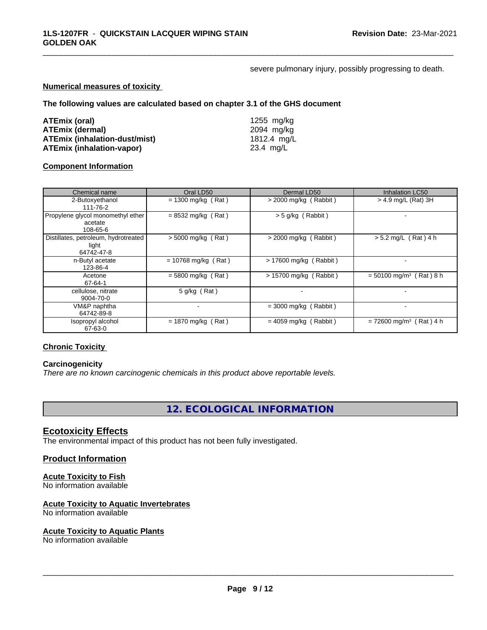severe pulmonary injury, possibly progressing to death.

\_\_\_\_\_\_\_\_\_\_\_\_\_\_\_\_\_\_\_\_\_\_\_\_\_\_\_\_\_\_\_\_\_\_\_\_\_\_\_\_\_\_\_\_\_\_\_\_\_\_\_\_\_\_\_\_\_\_\_\_\_\_\_\_\_\_\_\_\_\_\_\_\_\_\_\_\_\_\_\_\_\_\_\_\_\_\_\_\_\_\_\_\_

#### **Numerical measures of toxicity**

**The following values are calculated based on chapter 3.1 of the GHS document**

| ATEmix (oral)                        | 1255 ma/ka  |
|--------------------------------------|-------------|
| <b>ATEmix (dermal)</b>               | 2094 mg/ka  |
| <b>ATEmix (inhalation-dust/mist)</b> | 1812.4 mg/L |
| <b>ATEmix (inhalation-vapor)</b>     | 23.4 mg/L   |

### **Component Information**

| Chemical name                                               | Oral LD50             | Dermal LD50             | <b>Inhalation LC50</b>                |
|-------------------------------------------------------------|-----------------------|-------------------------|---------------------------------------|
| 2-Butoxyethanol<br>111-76-2                                 | $= 1300$ mg/kg (Rat)  | $>$ 2000 mg/kg (Rabbit) | > 4.9 mg/L (Rat) 3H                   |
| Propylene glycol monomethyl ether<br>acetate<br>108-65-6    | $= 8532$ mg/kg (Rat)  | $>$ 5 g/kg (Rabbit)     |                                       |
| Distillates, petroleum, hydrotreated<br>light<br>64742-47-8 | $> 5000$ mg/kg (Rat)  | $>$ 2000 mg/kg (Rabbit) | $> 5.2$ mg/L (Rat) 4 h                |
| n-Butyl acetate<br>123-86-4                                 | $= 10768$ mg/kg (Rat) | > 17600 mg/kg (Rabbit)  |                                       |
| Acetone<br>67-64-1                                          | $= 5800$ mg/kg (Rat)  | > 15700 mg/kg (Rabbit)  | $= 50100$ mg/m <sup>3</sup> (Rat) 8 h |
| cellulose, nitrate<br>9004-70-0                             | $5$ g/kg (Rat)        |                         |                                       |
| VM&P naphtha<br>64742-89-8                                  |                       | $=$ 3000 mg/kg (Rabbit) |                                       |
| Isopropyl alcohol<br>67-63-0                                | $= 1870$ mg/kg (Rat)  | $= 4059$ mg/kg (Rabbit) | $= 72600$ mg/m <sup>3</sup> (Rat) 4 h |

# **Chronic Toxicity**

#### **Carcinogenicity**

*There are no known carcinogenic chemicals in this product above reportable levels.*

**12. ECOLOGICAL INFORMATION**

#### **Ecotoxicity Effects**

The environmental impact of this product has not been fully investigated.

#### **Product Information**

#### **Acute Toxicity to Fish**

No information available

#### **Acute Toxicity to Aquatic Invertebrates**

No information available

#### **Acute Toxicity to Aquatic Plants**

No information available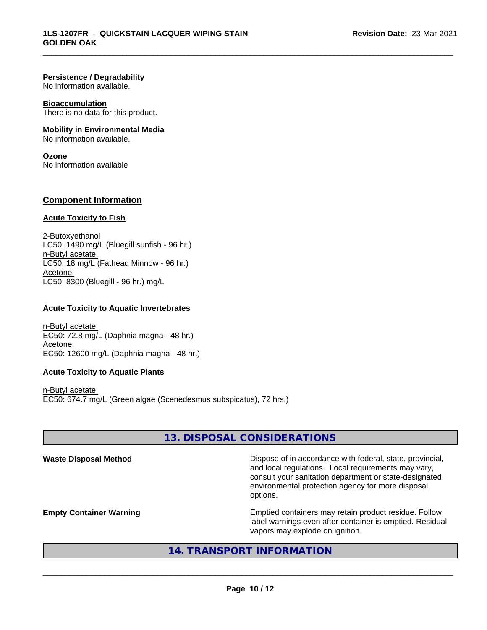#### **Persistence / Degradability**

No information available.

#### **Bioaccumulation**

There is no data for this product.

#### **Mobility in Environmental Media**

No information available.

#### **Ozone**

No information available

### **Component Information**

#### **Acute Toxicity to Fish**

2-Butoxyethanol  $LC50: 1490$  mg/L (Bluegill sunfish - 96 hr.) n-Butyl acetate LC50: 18 mg/L (Fathead Minnow - 96 hr.) Acetone LC50: 8300 (Bluegill - 96 hr.) mg/L

#### **Acute Toxicity to Aquatic Invertebrates**

n-Butyl acetate EC50: 72.8 mg/L (Daphnia magna - 48 hr.) Acetone EC50: 12600 mg/L (Daphnia magna - 48 hr.)

#### **Acute Toxicity to Aquatic Plants**

n-Butyl acetate EC50: 674.7 mg/L (Green algae (Scenedesmus subspicatus), 72 hrs.)

# **13. DISPOSAL CONSIDERATIONS**

\_\_\_\_\_\_\_\_\_\_\_\_\_\_\_\_\_\_\_\_\_\_\_\_\_\_\_\_\_\_\_\_\_\_\_\_\_\_\_\_\_\_\_\_\_\_\_\_\_\_\_\_\_\_\_\_\_\_\_\_\_\_\_\_\_\_\_\_\_\_\_\_\_\_\_\_\_\_\_\_\_\_\_\_\_\_\_\_\_\_\_\_\_

Waste Disposal Method **Dispose of in accordance with federal, state, provincial,** and local regulations. Local requirements may vary, consult your sanitation department or state-designated environmental protection agency for more disposal options.

**Empty Container Warning <b>Emptied** Containers may retain product residue. Follow label warnings even after container is emptied. Residual vapors may explode on ignition.

# **14. TRANSPORT INFORMATION**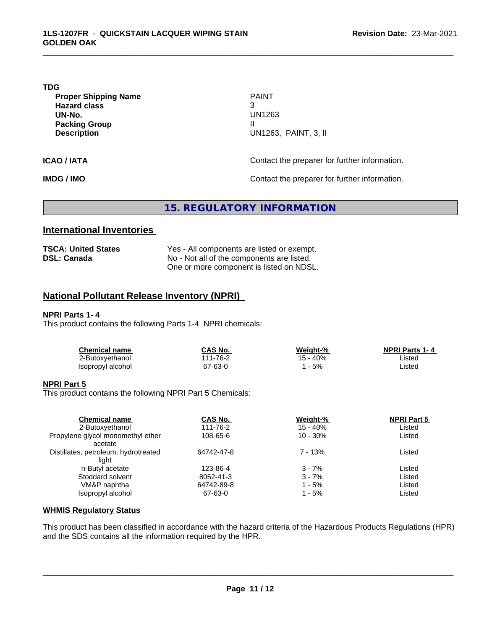#### **TDG**

**Proper Shipping Name PAINT Hazard class** 3 **UN-No.** UN1263 **Packing Group III Description** U

**Description** UN1263, PAINT, 3, II

\_\_\_\_\_\_\_\_\_\_\_\_\_\_\_\_\_\_\_\_\_\_\_\_\_\_\_\_\_\_\_\_\_\_\_\_\_\_\_\_\_\_\_\_\_\_\_\_\_\_\_\_\_\_\_\_\_\_\_\_\_\_\_\_\_\_\_\_\_\_\_\_\_\_\_\_\_\_\_\_\_\_\_\_\_\_\_\_\_\_\_\_\_

**ICAO / IATA ICAO / IATA Contact the preparer for further information.** 

**IMDG / IMO Contact the preparer for further information.** 

# **15. REGULATORY INFORMATION**

# **International Inventories**

| <b>TSCA: United States</b> | Yes - All components are listed or exempt. |
|----------------------------|--------------------------------------------|
| <b>DSL: Canada</b>         | No - Not all of the components are listed. |
|                            | One or more component is listed on NDSL.   |

# **National Pollutant Release Inventory (NPRI)**

## **NPRI Parts 1- 4**

This product contains the following Parts 1-4 NPRI chemicals:

| Chemical name     | CAS No.  | Weiaht-% | <b>NPRI Parts 1-4</b> |  |
|-------------------|----------|----------|-----------------------|--|
| 2-Butoxyethanol   | 111-76-2 | 15 - 40% | ∟isted                |  |
| Isopropyl alcohol | 67-63-0  | 5%       | Listed                |  |

#### **NPRI Part 5**

This product contains the following NPRI Part 5 Chemicals:

| <b>Chemical name</b>                                 | <b>CAS No.</b><br>111-76-2 | Weight-%<br>$15 - 40%$ | <b>NPRI Part 5</b><br>Listed |  |
|------------------------------------------------------|----------------------------|------------------------|------------------------------|--|
| 2-Butoxyethanol<br>Propylene glycol monomethyl ether | 108-65-6                   | $10 - 30%$             | Listed                       |  |
| acetate                                              |                            |                        |                              |  |
| Distillates, petroleum, hydrotreated                 | 64742-47-8                 | $7 - 13%$              | Listed                       |  |
| light                                                |                            |                        |                              |  |
| n-Butyl acetate                                      | 123-86-4                   | $3 - 7%$               | Listed                       |  |
| Stoddard solvent                                     | 8052-41-3                  | $3 - 7%$               | Listed                       |  |
| VM&P naphtha                                         | 64742-89-8                 | 1 - 5%                 | Listed                       |  |
| Isopropyl alcohol                                    | 67-63-0                    | 1 - 5%                 | Listed                       |  |

#### **WHMIS Regulatory Status**

This product has been classified in accordance with the hazard criteria of the Hazardous Products Regulations (HPR) and the SDS contains all the information required by the HPR.